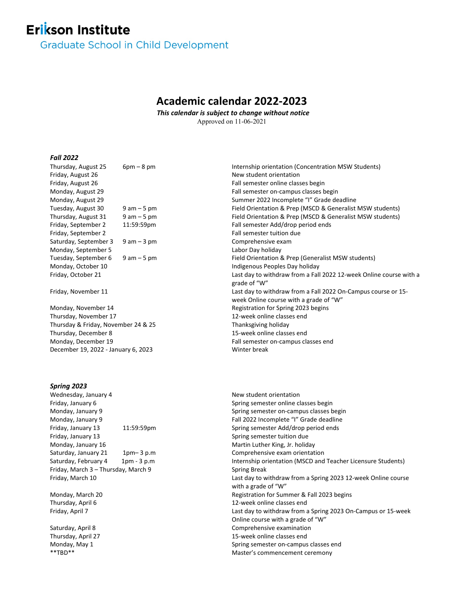# **Erikson Institute**

**Graduate School in Child Development** 

## **Academic calendar 2022-2023**

*This calendar is subject to change without notice* Approved on 11-06-2021

### *Fall 2022*

| Thursday, August 25                 | $6pm - 8pm$    | Internship orientation (Concentration MSW Students)                |
|-------------------------------------|----------------|--------------------------------------------------------------------|
| Friday, August 26                   |                | New student orientation                                            |
| Friday, August 26                   |                | Fall semester online classes begin                                 |
| Monday, August 29                   |                | Fall semester on-campus classes begin                              |
| Monday, August 29                   |                | Summer 2022 Incomplete "I" Grade deadline                          |
| Tuesday, August 30                  | $9$ am $-5$ pm | Field Orientation & Prep (MSCD & Generalist MSW students)          |
| Thursday, August 31                 | $9$ am $-5$ pm | Field Orientation & Prep (MSCD & Generalist MSW students)          |
| Friday, September 2                 | 11:59:59pm     | Fall semester Add/drop period ends                                 |
| Friday, September 2                 |                | Fall semester tuition due                                          |
| Saturday, September 3               | $9$ am $-3$ pm | Comprehensive exam                                                 |
| Monday, September 5                 |                | Labor Day holiday                                                  |
| Tuesday, September 6                | $9$ am $-5$ pm | Field Orientation & Prep (Generalist MSW students)                 |
| Monday, October 10                  |                | Indigenous Peoples Day holiday                                     |
| Friday, October 21                  |                | Last day to withdraw from a Fall 2022 12-week Online course with a |
|                                     |                | grade of "W"                                                       |
| Friday, November 11                 |                | Last day to withdraw from a Fall 2022 On-Campus course or 15-      |
|                                     |                | week Online course with a grade of "W"                             |
| Monday, November 14                 |                | Registration for Spring 2023 begins                                |
| Thursday, November 17               |                | 12-week online classes end                                         |
| Thursday & Friday, November 24 & 25 |                | Thanksgiving holiday                                               |
| Thursday, December 8                |                | 15-week online classes end                                         |
| Monday, December 19                 |                | Fall semester on-campus classes end                                |
| December 19, 2022 - January 6, 2023 |                | Winter break                                                       |
|                                     |                |                                                                    |

#### *Spring 2023*

Wednesday, January 4 New student orientation Friday, January 6 Spring semester online classes begin Friday, January 13 Spring semester tuition due Monday, January 16 Martin Luther King, Jr. holiday Saturday, January 21 1pm– 3 p.m Comprehensive exam orientation Friday, March 3 – Thursday, March 9 Spring Break

Monday, January 9 Spring semester on-campus classes begin Monday, January 9 **Fall 2022 Incomplete "I" Grade deadline** Friday, January 13 11:59:59pm Spring semester Add/drop period ends Saturday, February 4 1pm - 3 p.m Internship orientation (MSCD and Teacher Licensure Students) Friday, March 10 Last day to withdraw from a Spring 2023 12-week Online course with a grade of "W" Monday, March 20 Registration for Summer & Fall 2023 begins Thursday, April 6 12-week online classes end Friday, April 7 Last day to withdraw from a Spring 2023 On-Campus or 15-week Online course with a grade of "W" Saturday, April 8 Comprehensive examination Thursday, April 27 15-week online classes end Monday, May 1 Spring semester on-campus classes end<br>
\*\*TBD\*\*<br>
Master's commencement ceremony Master's commencement ceremony